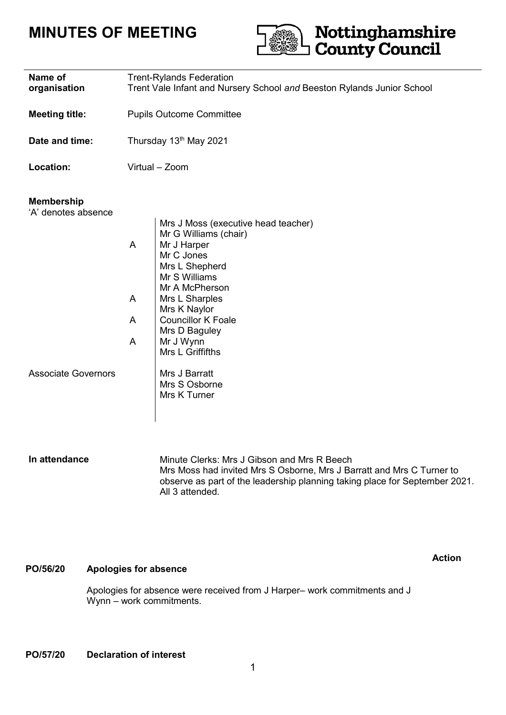# **MINUTES OF MEETING**



| Name of<br>organisation                                                | <b>Trent-Rylands Federation</b><br>Trent Vale Infant and Nursery School and Beeston Rylands Junior School                                                                                                                                                                                                                             |
|------------------------------------------------------------------------|---------------------------------------------------------------------------------------------------------------------------------------------------------------------------------------------------------------------------------------------------------------------------------------------------------------------------------------|
| <b>Meeting title:</b>                                                  | <b>Pupils Outcome Committee</b>                                                                                                                                                                                                                                                                                                       |
| Date and time:                                                         | Thursday 13 <sup>th</sup> May 2021                                                                                                                                                                                                                                                                                                    |
| Location:                                                              | Virtual - Zoom                                                                                                                                                                                                                                                                                                                        |
| <b>Membership</b><br>'A' denotes absence<br><b>Associate Governors</b> | Mrs J Moss (executive head teacher)<br>Mr G Williams (chair)<br>A<br>Mr J Harper<br>Mr C Jones<br>Mrs L Shepherd<br>Mr S Williams<br>Mr A McPherson<br>Mrs L Sharples<br>A<br>Mrs K Naylor<br><b>Councillor K Foale</b><br>A<br>Mrs D Baguley<br>A<br>Mr J Wynn<br>Mrs L Griffifths<br>Mrs J Barratt<br>Mrs S Osborne<br>Mrs K Turner |

**In attendance** Minute Clerks: Mrs J Gibson and Mrs R Beech Mrs Moss had invited Mrs S Osborne, Mrs J Barratt and Mrs C Turner to observe as part of the leadership planning taking place for September 2021. All 3 attended.

#### **Action**

# **PO/56/20 Apologies for absence**

Apologies for absence were received from J Harper– work commitments and J Wynn – work commitments.

# **PO/57/20 Declaration of interest**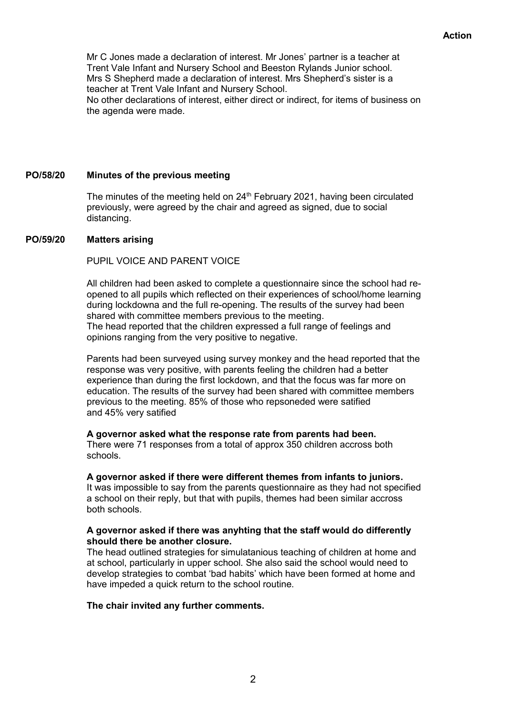Mr C Jones made a declaration of interest. Mr Jones' partner is a teacher at Trent Vale Infant and Nursery School and Beeston Rylands Junior school. Mrs S Shepherd made a declaration of interest. Mrs Shepherd's sister is a teacher at Trent Vale Infant and Nursery School.

No other declarations of interest, either direct or indirect, for items of business on the agenda were made.

#### **PO/58/20 Minutes of the previous meeting**

The minutes of the meeting held on 24<sup>th</sup> February 2021, having been circulated previously, were agreed by the chair and agreed as signed, due to social distancing.

#### **PO/59/20 Matters arising**

PUPIL VOICE AND PARENT VOICE

All children had been asked to complete a questionnaire since the school had reopened to all pupils which reflected on their experiences of school/home learning during lockdowna and the full re-opening. The results of the survey had been shared with committee members previous to the meeting. The head reported that the children expressed a full range of feelings and opinions ranging from the very positive to negative.

Parents had been surveyed using survey monkey and the head reported that the response was very positive, with parents feeling the children had a better experience than during the first lockdown, and that the focus was far more on education. The results of the survey had been shared with committee members previous to the meeting. 85% of those who repsoneded were satified and 45% very satified

### **A governor asked what the response rate from parents had been.**

There were 71 responses from a total of approx 350 children accross both schools.

### **A governor asked if there were different themes from infants to juniors.**

It was impossible to say from the parents questionnaire as they had not specified a school on their reply, but that with pupils, themes had been similar accross both schools.

### **A governor asked if there was anyhting that the staff would do differently should there be another closure.**

The head outlined strategies for simulatanious teaching of children at home and at school, particularly in upper school. She also said the school would need to develop strategies to combat 'bad habits' which have been formed at home and have impeded a quick return to the school routine.

### **The chair invited any further comments.**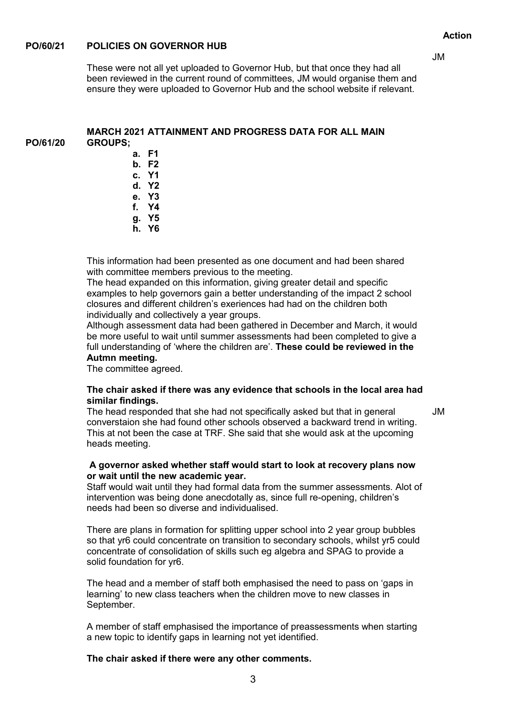#### **PO/60/21 POLICIES ON GOVERNOR HUB**

These were not all yet uploaded to Governor Hub, but that once they had all been reviewed in the current round of committees, JM would organise them and ensure they were uploaded to Governor Hub and the school website if relevant.

|          | <b>MARCH 2021 ATTAINMENT AND PROGRESS DATA FOR ALL MAIN</b> |
|----------|-------------------------------------------------------------|
| PO/61/20 | <b>GROUPS;</b>                                              |
|          |                                                             |

- **a. F1 b. F2 c. Y1 d. Y2 e. Y3 f. Y4**
- **g. Y5**
- **h. Y6**

This information had been presented as one document and had been shared with committee members previous to the meeting.

The head expanded on this information, giving greater detail and specific examples to help governors gain a better understanding of the impact 2 school closures and different children's exeriences had had on the children both individually and collectively a year groups.

Although assessment data had been gathered in December and March, it would be more useful to wait until summer assessments had been completed to give a full understanding of 'where the children are'. **These could be reviewed in the Autmn meeting.** 

# The committee agreed.

# **The chair asked if there was any evidence that schools in the local area had similar findings.**

The head responded that she had not specifically asked but that in general converstaion she had found other schools observed a backward trend in writing. This at not been the case at TRF. She said that she would ask at the upcoming heads meeting.

# **A governor asked whether staff would start to look at recovery plans now or wait until the new academic year.**

Staff would wait until they had formal data from the summer assessments. Alot of intervention was being done anecdotally as, since full re-opening, children's needs had been so diverse and individualised.

There are plans in formation for splitting upper school into 2 year group bubbles so that yr6 could concentrate on transition to secondary schools, whilst yr5 could concentrate of consolidation of skills such eg algebra and SPAG to provide a solid foundation for yr6.

The head and a member of staff both emphasised the need to pass on 'gaps in learning' to new class teachers when the children move to new classes in September.

A member of staff emphasised the importance of preassessments when starting a new topic to identify gaps in learning not yet identified.

# **The chair asked if there were any other comments.**

 **Action**

JM

JM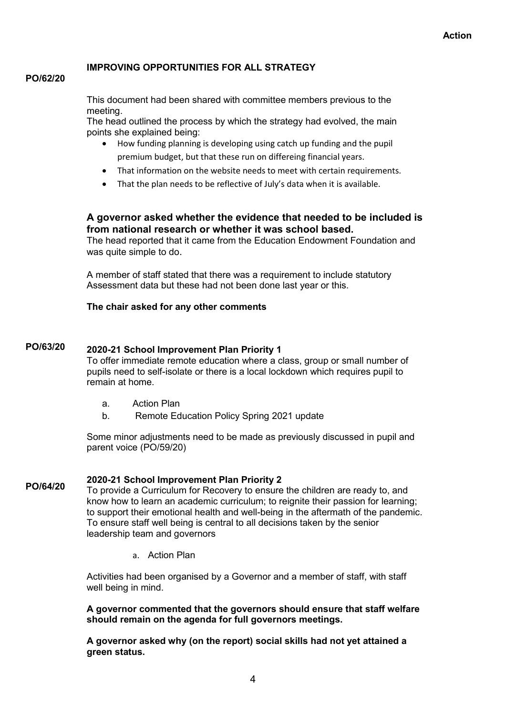# **IMPROVING OPPORTUNITIES FOR ALL STRATEGY**

### **PO/62/20**

This document had been shared with committee members previous to the meeting.

The head outlined the process by which the strategy had evolved, the main points she explained being:

- How funding planning is developing using catch up funding and the pupil premium budget, but that these run on differeing financial years.
- That information on the website needs to meet with certain requirements.
- That the plan needs to be reflective of July's data when it is available.

# **A governor asked whether the evidence that needed to be included is from national research or whether it was school based.**

The head reported that it came from the Education Endowment Foundation and was quite simple to do.

A member of staff stated that there was a requirement to include statutory Assessment data but these had not been done last year or this.

### **The chair asked for any other comments**

#### **PO/63/20 2020-21 School Improvement Plan Priority 1**

To offer immediate remote education where a class, group or small number of pupils need to self-isolate or there is a local lockdown which requires pupil to remain at home.

- a. Action Plan
- b. Remote Education Policy Spring 2021 update

Some minor adjustments need to be made as previously discussed in pupil and parent voice (PO/59/20)

#### **PO/64/20 2020-21 School Improvement Plan Priority 2**

To provide a Curriculum for Recovery to ensure the children are ready to, and know how to learn an academic curriculum; to reignite their passion for learning; to support their emotional health and well-being in the aftermath of the pandemic. To ensure staff well being is central to all decisions taken by the senior leadership team and governors

a. Action Plan

Activities had been organised by a Governor and a member of staff, with staff well being in mind.

**A governor commented that the governors should ensure that staff welfare should remain on the agenda for full governors meetings.**

**A governor asked why (on the report) social skills had not yet attained a green status.**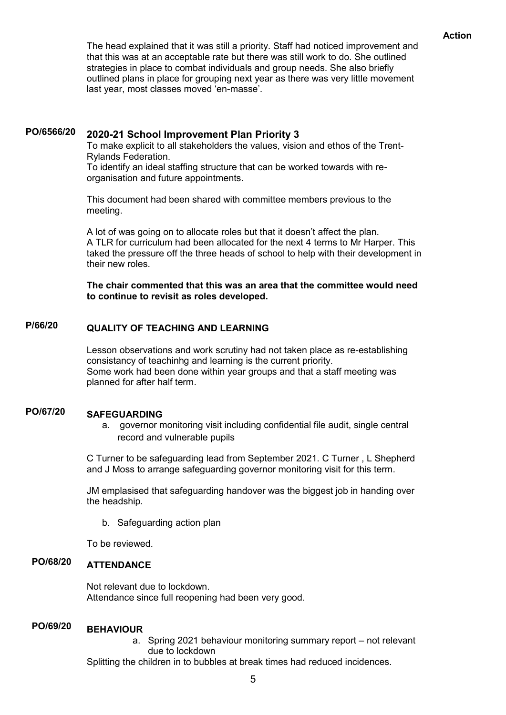The head explained that it was still a priority. Staff had noticed improvement and that this was at an acceptable rate but there was still work to do. She outlined strategies in place to combat individuals and group needs. She also briefly outlined plans in place for grouping next year as there was very little movement last year, most classes moved 'en-masse'.

#### **PO/6566/20 2020-21 School Improvement Plan Priority 3**

To make explicit to all stakeholders the values, vision and ethos of the Trent-Rylands Federation.

To identify an ideal staffing structure that can be worked towards with reorganisation and future appointments.

This document had been shared with committee members previous to the meeting.

A lot of was going on to allocate roles but that it doesn't affect the plan. A TLR for curriculum had been allocated for the next 4 terms to Mr Harper. This taked the pressure off the three heads of school to help with their development in their new roles.

**The chair commented that this was an area that the committee would need to continue to revisit as roles developed.**

#### **P/66/20 QUALITY OF TEACHING AND LEARNING**

Lesson observations and work scrutiny had not taken place as re-establishing consistancy of teachinhg and learning is the current priority. Some work had been done within year groups and that a staff meeting was planned for after half term.

#### **PO/67/20 SAFEGUARDING**

a. governor monitoring visit including confidential file audit, single central record and vulnerable pupils

C Turner to be safeguarding lead from September 2021. C Turner , L Shepherd and J Moss to arrange safeguarding governor monitoring visit for this term.

JM emplasised that safeguarding handover was the biggest job in handing over the headship.

b. Safeguarding action plan

To be reviewed.

#### **PO/68/20 ATTENDANCE**

Not relevant due to lockdown. Attendance since full reopening had been very good.

#### **PO/69/20 BEHAVIOUR**

a. Spring 2021 behaviour monitoring summary report – not relevant due to lockdown

Splitting the children in to bubbles at break times had reduced incidences.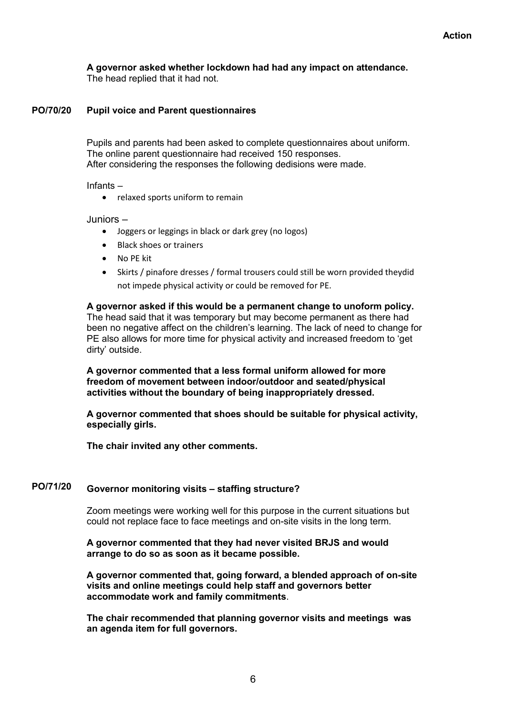**A governor asked whether lockdown had had any impact on attendance.**

The head replied that it had not.

#### **PO/70/20 Pupil voice and Parent questionnaires**

Pupils and parents had been asked to complete questionnaires about uniform. The online parent questionnaire had received 150 responses. After considering the responses the following dedisions were made.

Infants –

• relaxed sports uniform to remain

Juniors –

- Joggers or leggings in black or dark grey (no logos)
- Black shoes or trainers
- No PE kit
- Skirts / pinafore dresses / formal trousers could still be worn provided theydid not impede physical activity or could be removed for PE.

**A governor asked if this would be a permanent change to unoform policy.** The head said that it was temporary but may become permanent as there had been no negative affect on the children's learning. The lack of need to change for PE also allows for more time for physical activity and increased freedom to 'get dirty' outside.

**A governor commented that a less formal uniform allowed for more freedom of movement between indoor/outdoor and seated/physical activities without the boundary of being inappropriately dressed.**

**A governor commented that shoes should be suitable for physical activity, especially girls.**

**The chair invited any other comments.**

#### **PO/71/20 Governor monitoring visits – staffing structure?**

Zoom meetings were working well for this purpose in the current situations but could not replace face to face meetings and on-site visits in the long term.

**A governor commented that they had never visited BRJS and would arrange to do so as soon as it became possible.**

**A governor commented that, going forward, a blended approach of on-site visits and online meetings could help staff and governors better accommodate work and family commitments**.

**The chair recommended that planning governor visits and meetings was an agenda item for full governors.**